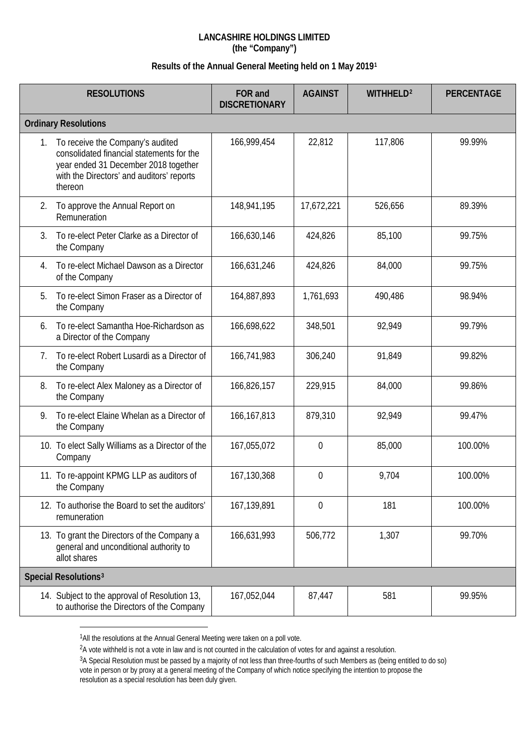## **LANCASHIRE HOLDINGS LIMITED (the "Company")**

## **Results of the Annual General Meeting held on 1 May 2019[1](#page-0-0)**

| <b>RESOLUTIONS</b>          |                                                                                                                                                                               | FOR and<br><b>DISCRETIONARY</b> | <b>AGAINST</b> | WITHHELD <sup>2</sup> | <b>PERCENTAGE</b> |  |  |  |
|-----------------------------|-------------------------------------------------------------------------------------------------------------------------------------------------------------------------------|---------------------------------|----------------|-----------------------|-------------------|--|--|--|
| <b>Ordinary Resolutions</b> |                                                                                                                                                                               |                                 |                |                       |                   |  |  |  |
| 1.                          | To receive the Company's audited<br>consolidated financial statements for the<br>year ended 31 December 2018 together<br>with the Directors' and auditors' reports<br>thereon | 166,999,454                     | 22,812         | 117,806               | 99.99%            |  |  |  |
| 2.                          | To approve the Annual Report on<br>Remuneration                                                                                                                               | 148,941,195                     | 17,672,221     | 526,656               | 89.39%            |  |  |  |
| 3.                          | To re-elect Peter Clarke as a Director of<br>the Company                                                                                                                      | 166,630,146                     | 424,826        | 85,100                | 99.75%            |  |  |  |
| 4.                          | To re-elect Michael Dawson as a Director<br>of the Company                                                                                                                    | 166,631,246                     | 424,826        | 84,000                | 99.75%            |  |  |  |
| 5.                          | To re-elect Simon Fraser as a Director of<br>the Company                                                                                                                      | 164,887,893                     | 1,761,693      | 490,486               | 98.94%            |  |  |  |
| 6.                          | To re-elect Samantha Hoe-Richardson as<br>a Director of the Company                                                                                                           | 166,698,622                     | 348,501        | 92,949                | 99.79%            |  |  |  |
| 7.                          | To re-elect Robert Lusardi as a Director of<br>the Company                                                                                                                    | 166,741,983                     | 306,240        | 91,849                | 99.82%            |  |  |  |
| 8.                          | To re-elect Alex Maloney as a Director of<br>the Company                                                                                                                      | 166,826,157                     | 229,915        | 84,000                | 99.86%            |  |  |  |
| 9.                          | To re-elect Elaine Whelan as a Director of<br>the Company                                                                                                                     | 166, 167, 813                   | 879,310        | 92,949                | 99.47%            |  |  |  |
|                             | 10. To elect Sally Williams as a Director of the<br>Company                                                                                                                   | 167,055,072                     | $\overline{0}$ | 85,000                | 100.00%           |  |  |  |
|                             | 11. To re-appoint KPMG LLP as auditors of<br>the Company                                                                                                                      | 167,130,368                     | $\mathbf 0$    | 9,704                 | 100.00%           |  |  |  |
|                             | 12. To authorise the Board to set the auditors'<br>remuneration                                                                                                               | 167,139,891                     | $\mathbf 0$    | 181                   | 100.00%           |  |  |  |
|                             | 13. To grant the Directors of the Company a<br>general and unconditional authority to<br>allot shares                                                                         | 166,631,993                     | 506,772        | 1,307                 | 99.70%            |  |  |  |
|                             | Special Resolutions <sup>3</sup>                                                                                                                                              |                                 |                |                       |                   |  |  |  |
|                             | 14. Subject to the approval of Resolution 13,<br>to authorise the Directors of the Company                                                                                    | 167,052,044                     | 87,447         | 581                   | 99.95%            |  |  |  |

<span id="page-0-0"></span><sup>&</sup>lt;sup>1</sup>All the resolutions at the Annual General Meeting were taken on a poll vote.

 $\overline{a}$ 

<span id="page-0-1"></span><sup>&</sup>lt;sup>2</sup>A vote withheld is not a vote in law and is not counted in the calculation of votes for and against a resolution.

<span id="page-0-2"></span><sup>3</sup>A Special Resolution must be passed by a majority of not less than three-fourths of such Members as (being entitled to do so) vote in person or by proxy at a general meeting of the Company of which notice specifying the intention to propose the resolution as a special resolution has been duly given.